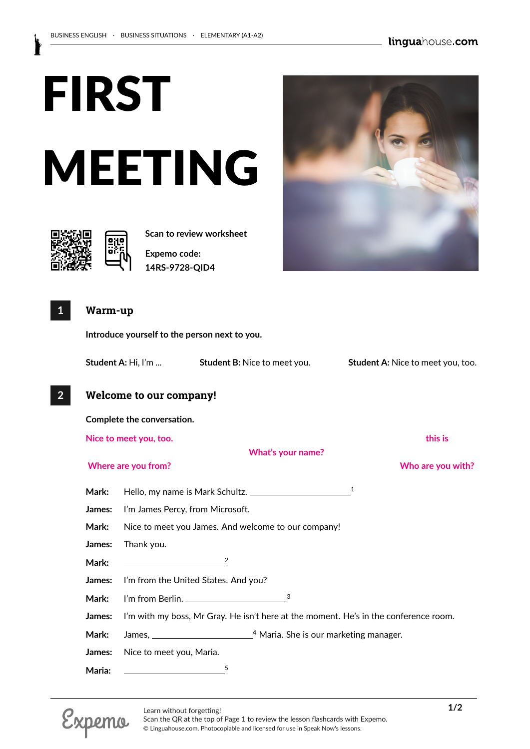# FIRST MEETING



**Scan to review worksheet** 

**Expemo code: 14RS-9728-QID4**

#### **1 Warm-up**

**Introduce yourself to the person next to you.**

**Student A:** Hi, I'm ... **Student B:** Nice to meet you. **Student A:** Nice to meet you, too.

**What's your name?**

### **2 Welcome to our company!**

**Complete the conversation. Nice to meet you, too. this is**

#### **Where are you from? Who are you with?**

**Mark:** Hello, my name is Mark Schultz. 1 **James:** I'm James Percy, from Microsoft. **Mark:** Nice to meet you James. And welcome to our company!

**James:** Thank you.

**Mark:** <sup>2</sup>

**James:** I'm from the United States. And you?

**Mark:** I'm from Berlin. <sup>3</sup>

**James:** I'm with my boss, Mr Gray. He isn't here at the moment. He's in the conference room.

Mark: James, \_\_\_\_\_\_\_\_\_\_\_\_\_\_\_\_\_\_\_\_\_\_\_\_\_\_\_<sup>4</sup> Maria. She is our marketing manager.

**James:** Nice to meet you, Maria.

Maria:





Scan the QR at the top of Page 1 to review the lesson flashcards with Expemo. © Linguahouse.com. Photocopiable and licensed for use in Speak Now's lessons.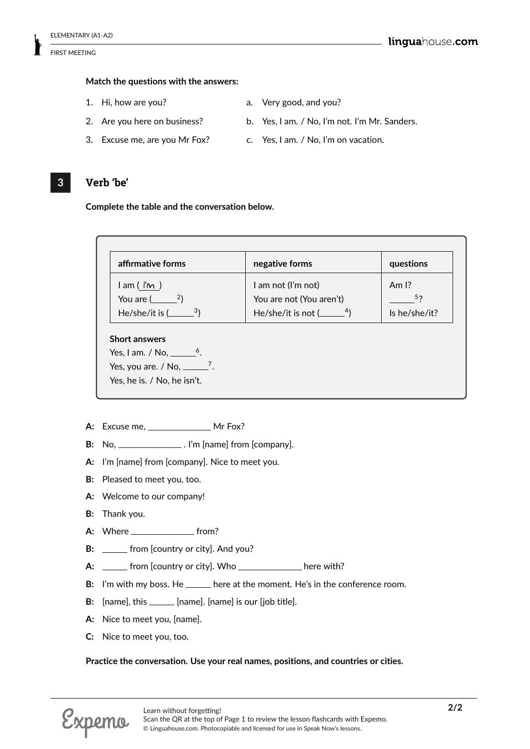#### **Match the questions with the answers:**

- 
- 1. Hi, how are you? **a.** Very good, and you?
- 
- 
- 
- 3. Excuse me, are you Mr Fox? c. Yes, I am. / No, I'm on vacation.
- 2. Are you here on business? b. Yes, I am. / No, I'm not. I'm Mr. Sanders.
	-

#### **3 Verb 'be'**

**Complete the table and the conversation below.**

| affirmative forms                   | negative forms                      | questions         |
|-------------------------------------|-------------------------------------|-------------------|
| $l$ am ( $l$ <sup>n</sup> $\sim$ )  | I am not (I'm not)                  | Am $\mathsf{I}$ ? |
| You are $($ $2)$                    | You are not (You aren't)            | 52                |
| He/she/it is $($ <sup>3</sup> )     | He/she/it is not $($ <sup>4</sup> ) | Is he/she/it?     |
|                                     |                                     |                   |
|                                     |                                     |                   |
| Yes, I am. / No, $\_\_\_6$ .        |                                     |                   |
| Yes, you are. / No, $\frac{7}{2}$ . |                                     |                   |
| Yes, he is. / No, he isn't.         |                                     |                   |

- A: Excuse me, Mr Fox?
- **B:** No, \_\_\_\_\_\_\_\_\_\_\_\_\_\_\_\_\_\_. I'm [name] from [company].
- **A:** I'm [name] from [company]. Nice to meet you.
- **B:** Pleased to meet you, too.
- **A:** Welcome to our company!
- **B:** Thank you.
- **A:** Where **from?**
- **B:** \_\_\_\_\_\_ from [country or city]. And you?
- A: \_\_\_\_\_\_ from [country or city]. Who \_\_\_\_\_\_\_\_\_\_\_\_\_\_ here with?
- **B:** I'm with my boss. He \_\_\_\_\_\_ here at the moment. He's in the conference room.
- **B:** [name], this \_\_\_\_\_\_ [name]. [name] is our [job title].
- **A:** Nice to meet you, [name].
- **C:** Nice to meet you, too.

#### **Practice the conversation. Use your real names, positions, and countries or cities.**